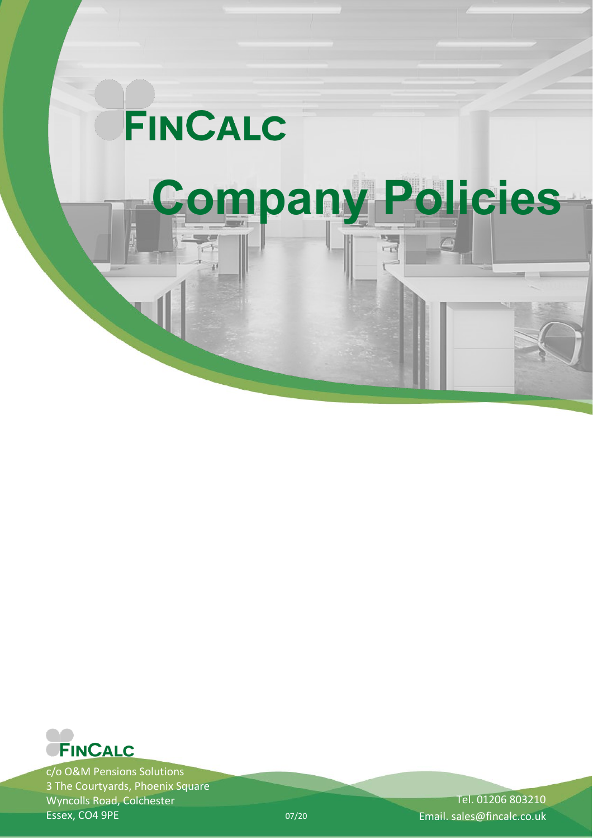

 $-1$ 

# **Company Policies**

σŘ



c/o O&M Pensions Solutions 3 The Courtyards, Phoenix Square Wyncolls Road, Colchester Essex, CO4 9PE

Tel. 01206 803210 07/20 Email. sales@fincalc.co.uk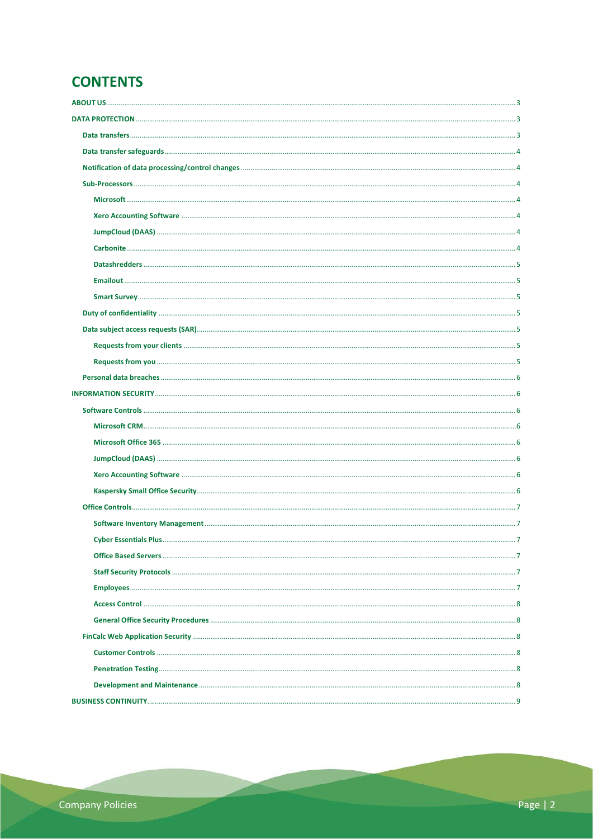# **CONTENTS**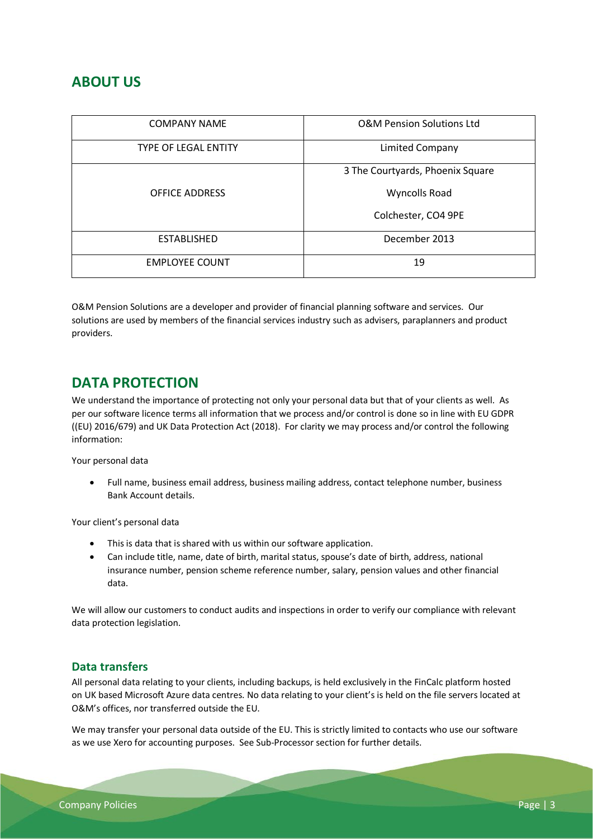# <span id="page-2-0"></span>**ABOUT US**

| <b>COMPANY NAME</b>         | <b>O&amp;M Pension Solutions Ltd</b> |
|-----------------------------|--------------------------------------|
| <b>TYPE OF LEGAL ENTITY</b> | Limited Company                      |
|                             | 3 The Courtyards, Phoenix Square     |
| <b>OFFICE ADDRESS</b>       | <b>Wyncolls Road</b>                 |
|                             | Colchester, CO4 9PE                  |
| <b>ESTABLISHED</b>          | December 2013                        |
| <b>EMPLOYEE COUNT</b>       | 19                                   |

O&M Pension Solutions are a developer and provider of financial planning software and services. Our solutions are used by members of the financial services industry such as advisers, paraplanners and product providers.

# <span id="page-2-1"></span>**DATA PROTECTION**

We understand the importance of protecting not only your personal data but that of your clients as well. As per our software licence terms all information that we process and/or control is done so in line with EU GDPR ((EU) 2016/679) and UK Data Protection Act (2018). For clarity we may process and/or control the following information:

Your personal data

• Full name, business email address, business mailing address, contact telephone number, business Bank Account details.

Your client's personal data

- This is data that is shared with us within our software application.
- Can include title, name, date of birth, marital status, spouse's date of birth, address, national insurance number, pension scheme reference number, salary, pension values and other financial data.

We will allow our customers to conduct audits and inspections in order to verify our compliance with relevant data protection legislation.

# <span id="page-2-2"></span>**Data transfers**

All personal data relating to your clients, including backups, is held exclusively in the FinCalc platform hosted on UK based Microsoft Azure data centres. No data relating to your client's is held on the file servers located at O&M's offices, nor transferred outside the EU.

We may transfer your personal data outside of the EU. This is strictly limited to contacts who use our software as we use Xero for accounting purposes. See Sub-Processor section for further details.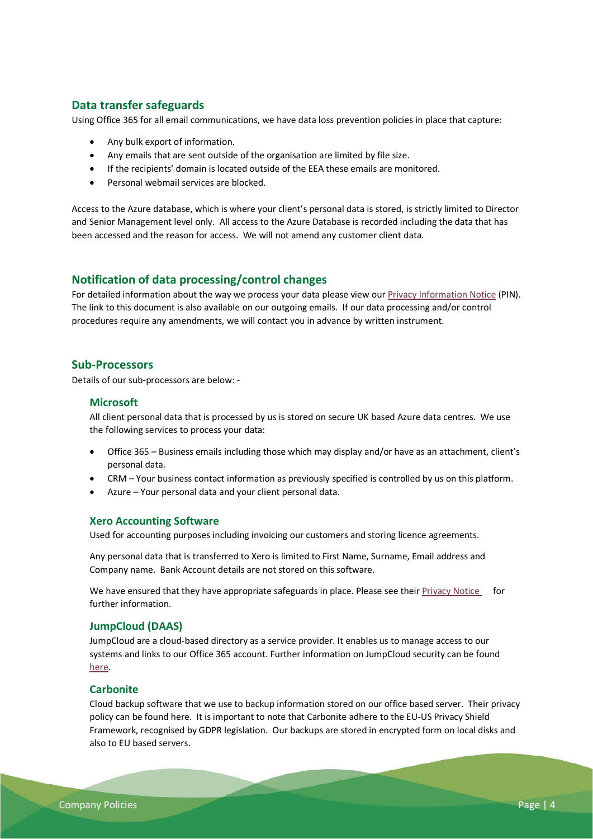# <span id="page-3-0"></span>**Data transfer safeguards**

Using Office 365 for all email communications, we have data loss prevention policies in place that capture:

- Any bulk export of information.
- Any emails that are sent outside of the organisation are limited by file size.
- If the recipients' domain is located outside of the EEA these emails are monitored.
- Personal webmail services are blocked.

Access to the Azure database, which is where your client's personal data is stored, is strictly limited to Director and Senior Management level only. All access to the Azure Database is recorded including the data that has been accessed and the reason for access. We will not amend any customer client data.

# <span id="page-3-1"></span>**Notification of data processing/control changes**

For detailed information about the way we process your data please view our **Privacy Information Notice** (PIN). The link to this document is also available on our outgoing emails. If our data processing and/or control procedures require any amendments, we will contact you in advance by written instrument.

# <span id="page-3-2"></span>**Sub-Processors**

<span id="page-3-3"></span>Details of our sub-processors are below: -

## **Microsoft**

All client personal data that is processed by us is stored on secure UK based Azure data centres. We use the following services to process your data:

- Office 365 Business emails including those which may display and/or have as an attachment, client's personal data.
- CRM Your business contact information as previously specified is controlled by us on this platform.
- Azure Your personal data and your client personal data.

## <span id="page-3-4"></span>**Xero Accounting Software**

Used for accounting purposes including invoicing our customers and storing licence agreements.

Any personal data that is transferred to Xero is limited to First Name, Surname, Email address and Company name. Bank Account details are not stored on this software.

We have ensured that they have appropriate safeguards in place. Please see thei[r Privacy Notice](https://www.xero.com/uk/about/legal/privacy/) for further information.

# <span id="page-3-5"></span>**JumpCloud (DAAS)**

JumpCloud are a cloud-based directory as a service provider. It enables us to manage access to our systems and links to our Office 365 account. Further information on JumpCloud security can be found [here.](https://jumpcloud.com/faq/security/#ensure-security)

## <span id="page-3-6"></span>**Carbonite**

Cloud backup software that we use to backup information stored on our office based server. Their privacy policy can be foun[d here.](https://www.carbonite.com/terms-of-use/privacy-policy/) It is important to note that Carbonite adhere to the [EU-US Privacy Shield](https://www.privacyshield.gov/participant?id=a2zt0000000TNCcAAO&status=Active)  [Framework,](https://www.privacyshield.gov/participant?id=a2zt0000000TNCcAAO&status=Active) recognised by GDPR legislation. Our backups are stored in encrypted form on local disks and also to EU based servers.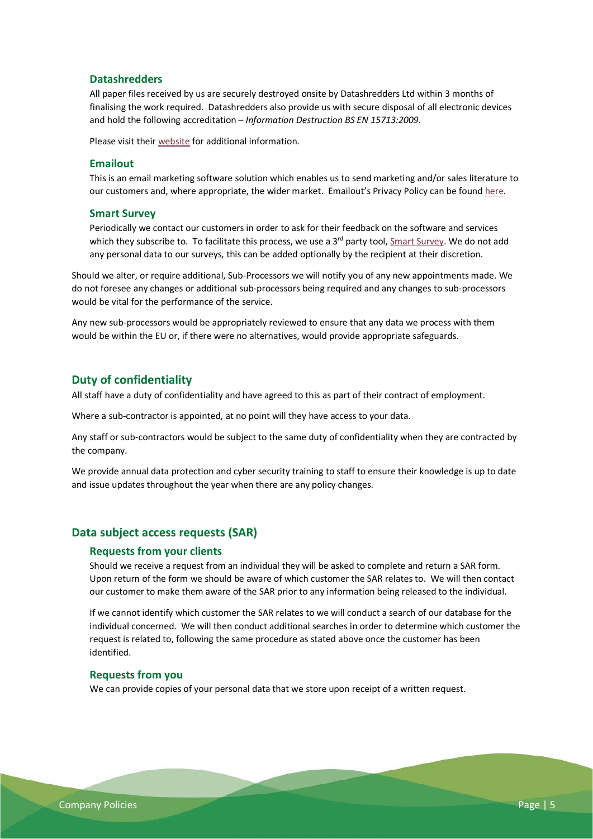# <span id="page-4-0"></span>**Datashredders**

All paper files received by us are securely destroyed onsite by Datashredders Ltd within 3 months of finalising the work required. Datashredders also provide us with secure disposal of all electronic devices and hold the following accreditation – *Information Destruction BS EN 15713:2009*.

Please visit their [website](https://www.datashredders.co.uk/) for additional information.

# <span id="page-4-1"></span>**Emailout**

This is an email marketing software solution which enables us to send marketing and/or sales literature to our customers and, where appropriate, the wider market. Emailout's Privacy Policy can be found [here.](https://www.emailout.com/privacy/)

#### <span id="page-4-2"></span>**Smart Survey**

Periodically we contact our customers in order to ask for their feedback on the software and services which they subscribe to. To facilitate this process, we use a 3<sup>rd</sup> party tool[, Smart Survey.](https://www.smartsurvey.co.uk/) We do not add any personal data to our surveys, this can be added optionally by the recipient at their discretion.

Should we alter, or require additional, Sub-Processors we will notify you of any new appointments made. We do not foresee any changes or additional sub-processors being required and any changes to sub-processors would be vital for the performance of the service.

Any new sub-processors would be appropriately reviewed to ensure that any data we process with them would be within the EU or, if there were no alternatives, would provide appropriate safeguards.

# <span id="page-4-3"></span>**Duty of confidentiality**

All staff have a duty of confidentiality and have agreed to this as part of their contract of employment.

Where a sub-contractor is appointed, at no point will they have access to your data.

Any staff or sub-contractors would be subject to the same duty of confidentiality when they are contracted by the company.

We provide annual data protection and cyber security training to staff to ensure their knowledge is up to date and issue updates throughout the year when there are any policy changes.

# <span id="page-4-5"></span><span id="page-4-4"></span>**Data subject access requests (SAR)**

# **Requests from your clients**

Should we receive a request from an individual they will be asked to complete and return a SAR form. Upon return of the form we should be aware of which customer the SAR relates to. We will then contact our customer to make them aware of the SAR prior to any information being released to the individual.

If we cannot identify which customer the SAR relates to we will conduct a search of our database for the individual concerned. We will then conduct additional searches in order to determine which customer the request is related to, following the same procedure as stated above once the customer has been identified.

## <span id="page-4-6"></span>**Requests from you**

We can provide copies of your personal data that we store upon receipt of a written request.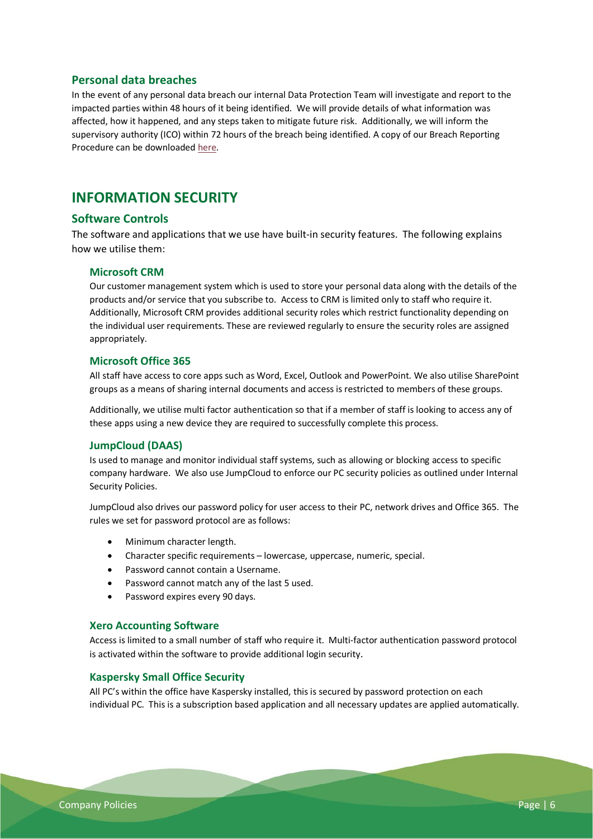# <span id="page-5-0"></span>**Personal data breaches**

In the event of any personal data breach our internal Data Protection Team will investigate and report to the impacted parties within 48 hours of it being identified. We will provide details of what information was affected, how it happened, and any steps taken to mitigate future risk. Additionally, we will inform the supervisory authority (ICO) within 72 hours of the breach being identified. A copy of our Breach Reporting Procedure can be downloade[d here.](https://www.ompensions.co.uk/media/1334/breach-reporting-procedure.pdf)

# <span id="page-5-1"></span>**INFORMATION SECURITY**

# <span id="page-5-2"></span>**Software Controls**

The software and applications that we use have built-in security features. The following explains how we utilise them:

# <span id="page-5-3"></span>**Microsoft CRM**

Our customer management system which is used to store your personal data along with the details of the products and/or service that you subscribe to. Access to CRM is limited only to staff who require it. Additionally, Microsoft CRM provides additional security roles which restrict functionality depending on the individual user requirements. These are reviewed regularly to ensure the security roles are assigned appropriately.

## <span id="page-5-4"></span>**Microsoft Office 365**

All staff have access to core apps such as Word, Excel, Outlook and PowerPoint. We also utilise SharePoint groups as a means of sharing internal documents and access is restricted to members of these groups.

Additionally, we utilise multi factor authentication so that if a member of staff is looking to access any of these apps using a new device they are required to successfully complete this process.

# <span id="page-5-5"></span>**JumpCloud (DAAS)**

Is used to manage and monitor individual staff systems, such as allowing or blocking access to specific company hardware. We also use JumpCloud to enforce our PC security policies as outlined unde[r Internal](#page-5-3)  [Security Policies.](#page-5-3)

JumpCloud also drives our password policy for user access to their PC, network drives and Office 365. The rules we set for password protocol are as follows:

- Minimum character length.
- Character specific requirements lowercase, uppercase, numeric, special.
- Password cannot contain a Username.
- Password cannot match any of the last 5 used.
- Password expires every 90 days.

#### <span id="page-5-6"></span>**Xero Accounting Software**

Access is limited to a small number of staff who require it. Multi-factor authentication password protocol is activated within the software to provide additional login security.

#### <span id="page-5-7"></span>**Kaspersky Small Office Security**

All PC's within the office have Kaspersky installed, this is secured by password protection on each individual PC. This is a subscription based application and all necessary updates are applied automatically.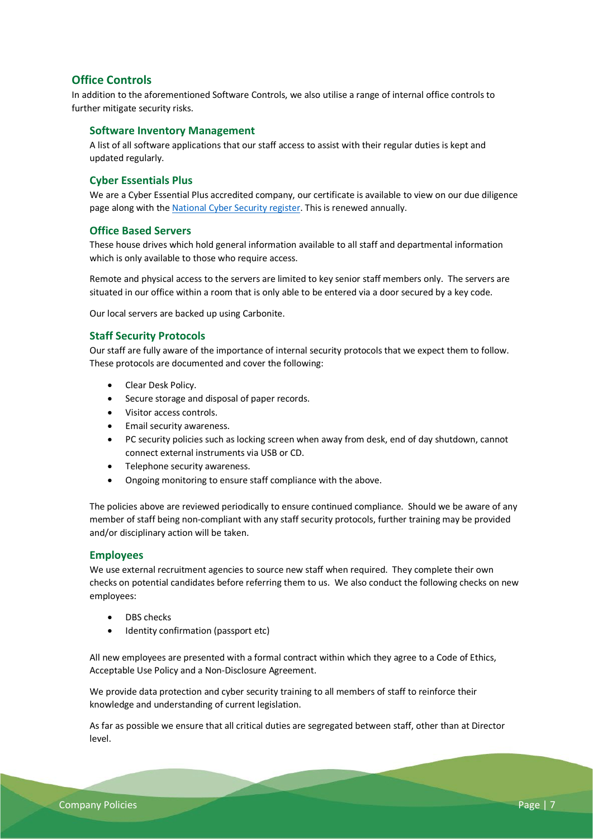# <span id="page-6-0"></span>**Office Controls**

In addition to the aforementioned Software Controls, we also utilise a range of internal office controls to further mitigate security risks.

# <span id="page-6-1"></span>**Software Inventory Management**

A list of all software applications that our staff access to assist with their regular duties is kept and updated regularly.

# <span id="page-6-2"></span>**Cyber Essentials Plus**

We are a Cyber Essential Plus accredited company, our certificate is available to view on our due diligence page along with th[e National Cyber Security](https://www.ncsc.gov.uk/cyberessentials/search) register. This is renewed annually.

# <span id="page-6-3"></span>**Office Based Servers**

These house drives which hold general information available to all staff and departmental information which is only available to those who require access.

Remote and physical access to the servers are limited to key senior staff members only. The servers are situated in our office within a room that is only able to be entered via a door secured by a key code.

Our local servers are backed up using Carbonite.

## <span id="page-6-4"></span>**Staff Security Protocols**

Our staff are fully aware of the importance of internal security protocols that we expect them to follow. These protocols are documented and cover the following:

- Clear Desk Policy.
- Secure storage and disposal of paper records.
- Visitor access controls.
- Email security awareness.
- PC security policies such as locking screen when away from desk, end of day shutdown, cannot connect external instruments via USB or CD.
- Telephone security awareness.
- Ongoing monitoring to ensure staff compliance with the above.

The policies above are reviewed periodically to ensure continued compliance. Should we be aware of any member of staff being non-compliant with any staff security protocols, further training may be provided and/or disciplinary action will be taken.

## <span id="page-6-5"></span>**Employees**

We use external recruitment agencies to source new staff when required. They complete their own checks on potential candidates before referring them to us. We also conduct the following checks on new employees:

- DBS checks
- Identity confirmation (passport etc)

All new employees are presented with a formal contract within which they agree to a Code of Ethics, Acceptable Use Policy and a Non-Disclosure Agreement.

We provide data protection and cyber security training to all members of staff to reinforce their knowledge and understanding of current legislation.

As far as possible we ensure that all critical duties are segregated between staff, other than at Director level.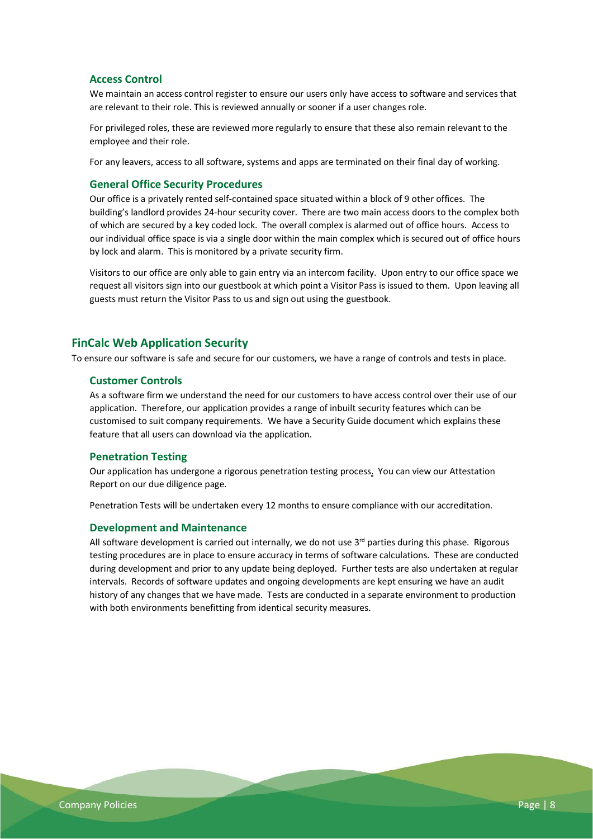# <span id="page-7-0"></span>**Access Control**

We maintain an access control register to ensure our users only have access to software and services that are relevant to their role. This is reviewed annually or sooner if a user changes role.

For privileged roles, these are reviewed more regularly to ensure that these also remain relevant to the employee and their role.

For any leavers, access to all software, systems and apps are terminated on their final day of working.

## <span id="page-7-1"></span>**General Office Security Procedures**

Our office is a privately rented self-contained space situated within a block of 9 other offices. The building's landlord provides 24-hour security cover. There are two main access doors to the complex both of which are secured by a key coded lock. The overall complex is alarmed out of office hours. Access to our individual office space is via a single door within the main complex which is secured out of office hours by lock and alarm. This is monitored by a private security firm.

Visitors to our office are only able to gain entry via an intercom facility. Upon entry to our office space we request all visitors sign into our guestbook at which point a Visitor Pass is issued to them. Upon leaving all guests must return the Visitor Pass to us and sign out using the guestbook.

# <span id="page-7-2"></span>**FinCalc Web Application Security**

<span id="page-7-3"></span>To ensure our software is safe and secure for our customers, we have a range of controls and tests in place.

#### **Customer Controls**

As a software firm we understand the need for our customers to have access control over their use of our application. Therefore, our application provides a range of inbuilt security features which can be customised to suit company requirements. We have a Security Guide document which explains these feature that all users can download via the application.

## <span id="page-7-4"></span>**Penetration Testing**

Our application has undergone a rigorous penetration testing process. You can view our Attestation Report on our due diligence page.

Penetration Tests will be undertaken every 12 months to ensure compliance with our accreditation.

#### <span id="page-7-5"></span>**Development and Maintenance**

All software development is carried out internally, we do not use  $3<sup>rd</sup>$  parties during this phase. Rigorous testing procedures are in place to ensure accuracy in terms of software calculations. These are conducted during development and prior to any update being deployed. Further tests are also undertaken at regular intervals. Records of software updates and ongoing developments are kept ensuring we have an audit history of any changes that we have made. Tests are conducted in a separate environment to production with both environments benefitting from identical security measures.